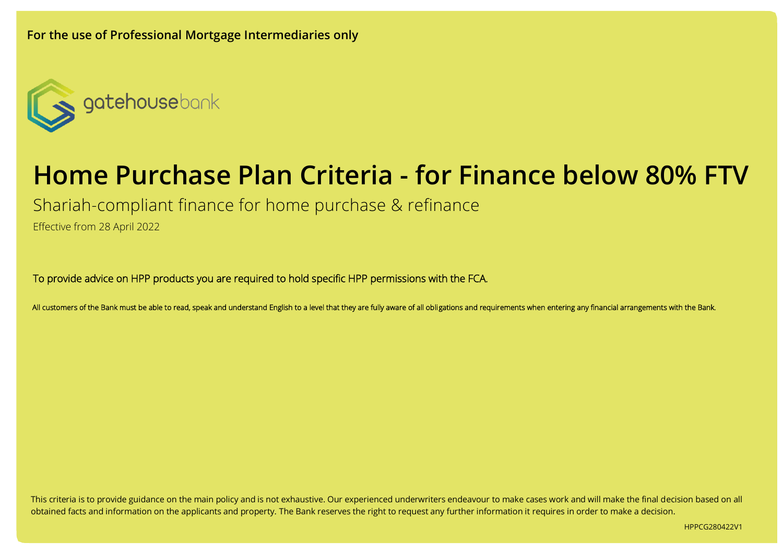

# **Home Purchase Plan Criteria - for Finance below 80% FTV**

Shariah-compliant finance for home purchase & refinance

Effective from 28 April 2022

To provide advice on HPP products you are required to hold specific HPP permissions with the FCA.

All customers of the Bank must be able to read, speak and understand English to a level that they are fully aware of all obligations and requirements when entering any financial arrangements with the Bank.

This criteria is to provide guidance on the main policy and is not exhaustive. Our experienced underwriters endeavour to make cases work and will make the final decision based on all obtained facts and information on the applicants and property. The Bank reserves the right to request any further information it requires in order to make a decision.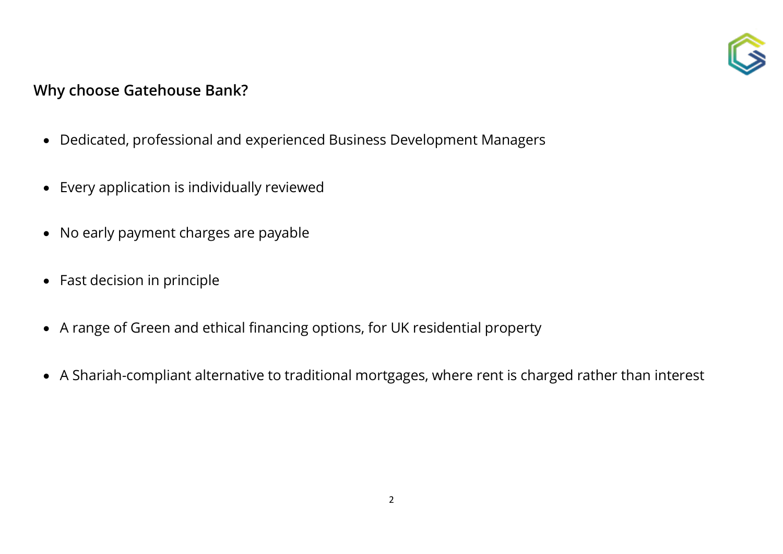

## **Why choose Gatehouse Bank?**

- Dedicated, professional and experienced Business Development Managers
- Every application is individually reviewed
- No early payment charges are payable
- Fast decision in principle
- A range of Green and ethical financing options, for UK residential property
- A Shariah-compliant alternative to traditional mortgages, where rent is charged rather than interest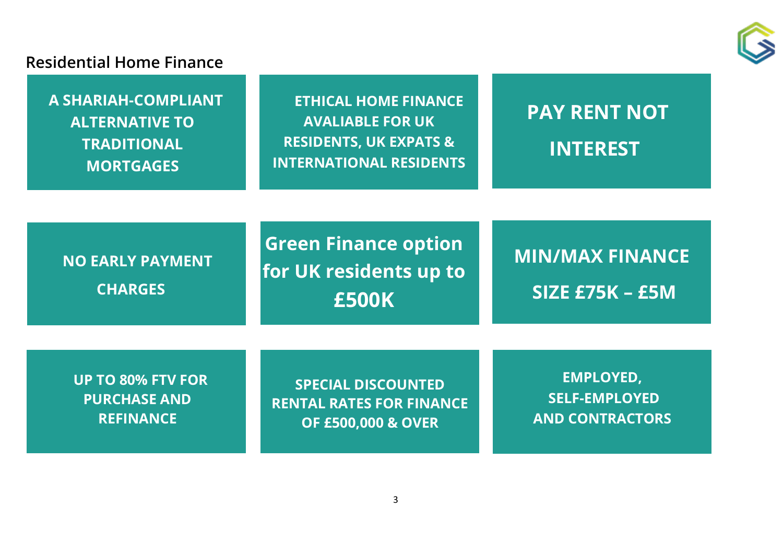

### **Residential Home Finance**

**A SHARIAH-COMPLIANT ALTERNATIVE TO TRADITIONAL MORTGAGES**

**ETHICAL HOME FINANCE AVALIABLE FOR UK RESIDENTS, UK EXPATS & INTERNATIONAL RESIDENTS**

# **PAY RENT NOT INTEREST**

**NO EARLY PAYMENT CHARGES**

**Green Finance option for UK residents up to £500K**

**MIN/MAX FINANCE SIZE £75K – £5M**

**UP TO 80% FTV FOR PURCHASE AND REFINANCE**

**SPECIAL DISCOUNTED RENTAL RATES FOR FINANCE OF £500,000 & OVER**

**EMPLOYED, SELF-EMPLOYED AND CONTRACTORS**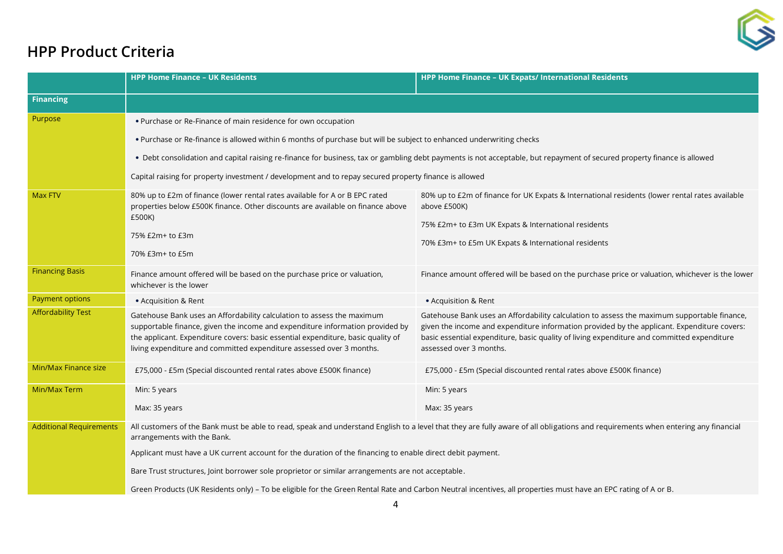

## **HPP Product Criteria**

|                                | <b>HPP Home Finance - UK Residents</b>                                                                                                                                                                                                                                                                                                                                            | HPP Home Finance - UK Expats/ International Residents                                                                                                                                                                                                                                                               |
|--------------------------------|-----------------------------------------------------------------------------------------------------------------------------------------------------------------------------------------------------------------------------------------------------------------------------------------------------------------------------------------------------------------------------------|---------------------------------------------------------------------------------------------------------------------------------------------------------------------------------------------------------------------------------------------------------------------------------------------------------------------|
| <b>Financing</b>               |                                                                                                                                                                                                                                                                                                                                                                                   |                                                                                                                                                                                                                                                                                                                     |
| Purpose                        | . Purchase or Re-Finance of main residence for own occupation                                                                                                                                                                                                                                                                                                                     |                                                                                                                                                                                                                                                                                                                     |
|                                | . Purchase or Re-finance is allowed within 6 months of purchase but will be subject to enhanced underwriting checks                                                                                                                                                                                                                                                               |                                                                                                                                                                                                                                                                                                                     |
|                                | . Debt consolidation and capital raising re-finance for business, tax or gambling debt payments is not acceptable, but repayment of secured property finance is allowed                                                                                                                                                                                                           |                                                                                                                                                                                                                                                                                                                     |
|                                | Capital raising for property investment / development and to repay secured property finance is allowed                                                                                                                                                                                                                                                                            |                                                                                                                                                                                                                                                                                                                     |
| Max FTV                        | 80% up to £2m of finance (lower rental rates available for A or B EPC rated<br>properties below £500K finance. Other discounts are available on finance above                                                                                                                                                                                                                     | 80% up to £2m of finance for UK Expats & International residents (lower rental rates available<br>above £500K)                                                                                                                                                                                                      |
|                                | £500K)<br>75% £2m+ to £3m                                                                                                                                                                                                                                                                                                                                                         | 75% £2m+ to £3m UK Expats & International residents                                                                                                                                                                                                                                                                 |
|                                | 70% £3m+ to £5m                                                                                                                                                                                                                                                                                                                                                                   | 70% £3m+ to £5m UK Expats & International residents                                                                                                                                                                                                                                                                 |
| <b>Financing Basis</b>         | Finance amount offered will be based on the purchase price or valuation,<br>whichever is the lower                                                                                                                                                                                                                                                                                | Finance amount offered will be based on the purchase price or valuation, whichever is the lower                                                                                                                                                                                                                     |
| Payment options                | • Acquisition & Rent                                                                                                                                                                                                                                                                                                                                                              | • Acquisition & Rent                                                                                                                                                                                                                                                                                                |
| <b>Affordability Test</b>      | Gatehouse Bank uses an Affordability calculation to assess the maximum<br>supportable finance, given the income and expenditure information provided by<br>the applicant. Expenditure covers: basic essential expenditure, basic quality of<br>living expenditure and committed expenditure assessed over 3 months.                                                               | Gatehouse Bank uses an Affordability calculation to assess the maximum supportable finance,<br>given the income and expenditure information provided by the applicant. Expenditure covers:<br>basic essential expenditure, basic quality of living expenditure and committed expenditure<br>assessed over 3 months. |
| Min/Max Finance size           | £75,000 - £5m (Special discounted rental rates above £500K finance)                                                                                                                                                                                                                                                                                                               | £75,000 - £5m (Special discounted rental rates above £500K finance)                                                                                                                                                                                                                                                 |
| Min/Max Term                   | Min: 5 years                                                                                                                                                                                                                                                                                                                                                                      | Min: 5 years                                                                                                                                                                                                                                                                                                        |
|                                | Max: 35 years                                                                                                                                                                                                                                                                                                                                                                     | Max: 35 years                                                                                                                                                                                                                                                                                                       |
| <b>Additional Requirements</b> | All customers of the Bank must be able to read, speak and understand English to a level that they are fully aware of all obligations and requirements when entering any financial<br>arrangements with the Bank.                                                                                                                                                                  |                                                                                                                                                                                                                                                                                                                     |
|                                | Applicant must have a UK current account for the duration of the financing to enable direct debit payment.<br>Bare Trust structures, Joint borrower sole proprietor or similar arrangements are not acceptable.<br>Green Products (UK Residents only) - To be eligible for the Green Rental Rate and Carbon Neutral incentives, all properties must have an EPC rating of A or B. |                                                                                                                                                                                                                                                                                                                     |
|                                |                                                                                                                                                                                                                                                                                                                                                                                   |                                                                                                                                                                                                                                                                                                                     |
|                                |                                                                                                                                                                                                                                                                                                                                                                                   |                                                                                                                                                                                                                                                                                                                     |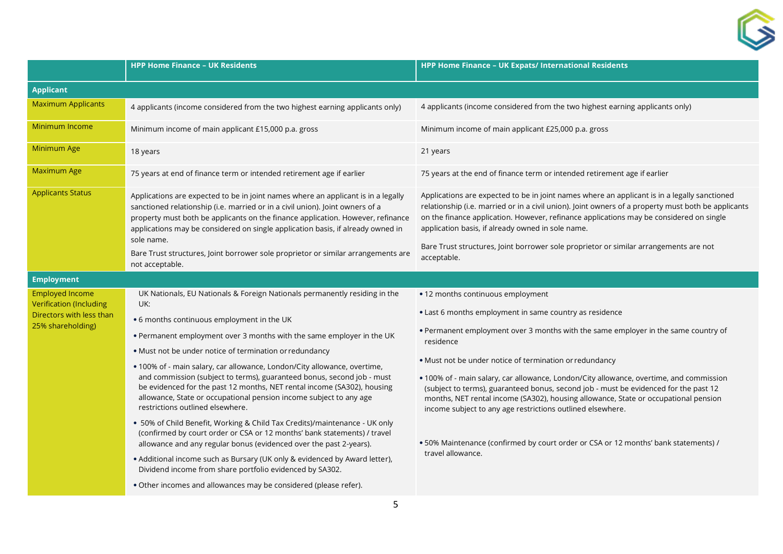

|                                                                                      | <b>HPP Home Finance - UK Residents</b>                                                                                                                                                                                                                                                                                                                                                                                                                                                                                                                                                                                                                                                                                                                                                                                                 | HPP Home Finance - UK Expats/ International Residents                                                                                                                                                                                                                                                                                                                                                                                                                                                                                                                                                          |
|--------------------------------------------------------------------------------------|----------------------------------------------------------------------------------------------------------------------------------------------------------------------------------------------------------------------------------------------------------------------------------------------------------------------------------------------------------------------------------------------------------------------------------------------------------------------------------------------------------------------------------------------------------------------------------------------------------------------------------------------------------------------------------------------------------------------------------------------------------------------------------------------------------------------------------------|----------------------------------------------------------------------------------------------------------------------------------------------------------------------------------------------------------------------------------------------------------------------------------------------------------------------------------------------------------------------------------------------------------------------------------------------------------------------------------------------------------------------------------------------------------------------------------------------------------------|
| <b>Applicant</b>                                                                     |                                                                                                                                                                                                                                                                                                                                                                                                                                                                                                                                                                                                                                                                                                                                                                                                                                        |                                                                                                                                                                                                                                                                                                                                                                                                                                                                                                                                                                                                                |
| <b>Maximum Applicants</b>                                                            | 4 applicants (income considered from the two highest earning applicants only)                                                                                                                                                                                                                                                                                                                                                                                                                                                                                                                                                                                                                                                                                                                                                          | 4 applicants (income considered from the two highest earning applicants only)                                                                                                                                                                                                                                                                                                                                                                                                                                                                                                                                  |
| Minimum Income                                                                       | Minimum income of main applicant £15,000 p.a. gross                                                                                                                                                                                                                                                                                                                                                                                                                                                                                                                                                                                                                                                                                                                                                                                    | Minimum income of main applicant £25,000 p.a. gross                                                                                                                                                                                                                                                                                                                                                                                                                                                                                                                                                            |
| Minimum Age                                                                          | 18 years                                                                                                                                                                                                                                                                                                                                                                                                                                                                                                                                                                                                                                                                                                                                                                                                                               | 21 years                                                                                                                                                                                                                                                                                                                                                                                                                                                                                                                                                                                                       |
| Maximum Age                                                                          | 75 years at end of finance term or intended retirement age if earlier                                                                                                                                                                                                                                                                                                                                                                                                                                                                                                                                                                                                                                                                                                                                                                  | 75 years at the end of finance term or intended retirement age if earlier                                                                                                                                                                                                                                                                                                                                                                                                                                                                                                                                      |
| <b>Applicants Status</b>                                                             | Applications are expected to be in joint names where an applicant is in a legally<br>sanctioned relationship (i.e. married or in a civil union). Joint owners of a<br>property must both be applicants on the finance application. However, refinance<br>applications may be considered on single application basis, if already owned in<br>sole name.<br>Bare Trust structures, Joint borrower sole proprietor or similar arrangements are                                                                                                                                                                                                                                                                                                                                                                                            | Applications are expected to be in joint names where an applicant is in a legally sanctioned<br>relationship (i.e. married or in a civil union). Joint owners of a property must both be applicants<br>on the finance application. However, refinance applications may be considered on single<br>application basis, if already owned in sole name.<br>Bare Trust structures, Joint borrower sole proprietor or similar arrangements are not                                                                                                                                                                   |
|                                                                                      | not acceptable.                                                                                                                                                                                                                                                                                                                                                                                                                                                                                                                                                                                                                                                                                                                                                                                                                        | acceptable.                                                                                                                                                                                                                                                                                                                                                                                                                                                                                                                                                                                                    |
| <b>Employment</b>                                                                    |                                                                                                                                                                                                                                                                                                                                                                                                                                                                                                                                                                                                                                                                                                                                                                                                                                        |                                                                                                                                                                                                                                                                                                                                                                                                                                                                                                                                                                                                                |
| <b>Employed Income</b><br><b>Verification (Including</b><br>Directors with less than | UK Nationals, EU Nationals & Foreign Nationals permanently residing in the<br>UK:                                                                                                                                                                                                                                                                                                                                                                                                                                                                                                                                                                                                                                                                                                                                                      | • 12 months continuous employment<br>• Last 6 months employment in same country as residence                                                                                                                                                                                                                                                                                                                                                                                                                                                                                                                   |
| 25% shareholding)                                                                    | • 6 months continuous employment in the UK<br>. Permanent employment over 3 months with the same employer in the UK<br>• Must not be under notice of termination or redundancy<br>.100% of - main salary, car allowance, London/City allowance, overtime,<br>and commission (subject to terms), guaranteed bonus, second job - must<br>be evidenced for the past 12 months, NET rental income (SA302), housing<br>allowance, State or occupational pension income subject to any age<br>restrictions outlined elsewhere.<br>• 50% of Child Benefit, Working & Child Tax Credits)/maintenance - UK only<br>(confirmed by court order or CSA or 12 months' bank statements) / travel<br>allowance and any regular bonus (evidenced over the past 2-years).<br>• Additional income such as Bursary (UK only & evidenced by Award letter), | . Permanent employment over 3 months with the same employer in the same country of<br>residence<br>• Must not be under notice of termination or redundancy<br>. 100% of - main salary, car allowance, London/City allowance, overtime, and commission<br>(subject to terms), guaranteed bonus, second job - must be evidenced for the past 12<br>months, NET rental income (SA302), housing allowance, State or occupational pension<br>income subject to any age restrictions outlined elsewhere.<br>. 50% Maintenance (confirmed by court order or CSA or 12 months' bank statements) /<br>travel allowance. |
|                                                                                      | Dividend income from share portfolio evidenced by SA302.<br>. Other incomes and allowances may be considered (please refer).                                                                                                                                                                                                                                                                                                                                                                                                                                                                                                                                                                                                                                                                                                           |                                                                                                                                                                                                                                                                                                                                                                                                                                                                                                                                                                                                                |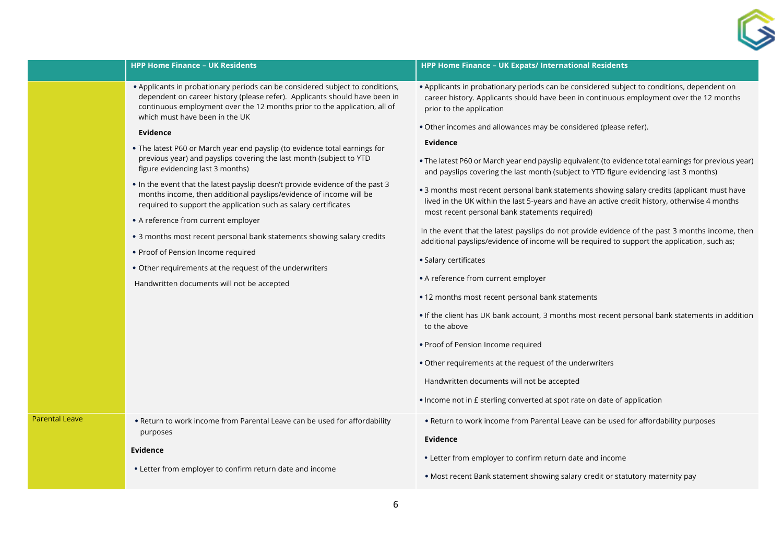

|                       | • Applicants in probationary periods can be considered subject to conditions,<br>dependent on career history (please refer). Applicants should have been in<br>continuous employment over the 12 months prior to the application, all of<br>which must have been in the UK<br>Evidence<br>. The latest P60 or March year end payslip (to evidence total earnings for<br>previous year) and payslips covering the last month (subject to YTD<br>figure evidencing last 3 months)<br>. In the event that the latest payslip doesn't provide evidence of the past 3<br>months income, then additional payslips/evidence of income will be<br>required to support the application such as salary certificates<br>• A reference from current employer<br>• 3 months most recent personal bank statements showing salary credits<br>• Proof of Pension Income required<br>• Other requirements at the request of the underwriters<br>Handwritten documents will not be accepted | • Applicants in probationary periods can be considered subject to conditions, dependent on<br>career history. Applicants should have been in continuous employment over the 12 months<br>prior to the application<br>. Other incomes and allowances may be considered (please refer).<br>Evidence<br>. The latest P60 or March year end payslip equivalent (to evidence total earnings for previous year)<br>and payslips covering the last month (subject to YTD figure evidencing last 3 months)<br>. 3 months most recent personal bank statements showing salary credits (applicant must have<br>lived in the UK within the last 5-years and have an active credit history, otherwise 4 months<br>most recent personal bank statements required)<br>In the event that the latest payslips do not provide evidence of the past 3 months income, then<br>additional payslips/evidence of income will be required to support the application, such as;<br>· Salary certificates<br>• A reference from current employer<br>• 12 months most recent personal bank statements<br>. If the client has UK bank account, 3 months most recent personal bank statements in addition<br>to the above<br>• Proof of Pension Income required<br>• Other requirements at the request of the underwriters<br>Handwritten documents will not be accepted<br>• Income not in £ sterling converted at spot rate on date of application |
|-----------------------|---------------------------------------------------------------------------------------------------------------------------------------------------------------------------------------------------------------------------------------------------------------------------------------------------------------------------------------------------------------------------------------------------------------------------------------------------------------------------------------------------------------------------------------------------------------------------------------------------------------------------------------------------------------------------------------------------------------------------------------------------------------------------------------------------------------------------------------------------------------------------------------------------------------------------------------------------------------------------|--------------------------------------------------------------------------------------------------------------------------------------------------------------------------------------------------------------------------------------------------------------------------------------------------------------------------------------------------------------------------------------------------------------------------------------------------------------------------------------------------------------------------------------------------------------------------------------------------------------------------------------------------------------------------------------------------------------------------------------------------------------------------------------------------------------------------------------------------------------------------------------------------------------------------------------------------------------------------------------------------------------------------------------------------------------------------------------------------------------------------------------------------------------------------------------------------------------------------------------------------------------------------------------------------------------------------------------------------------------------------------------------------------------------------|
| <b>Parental Leave</b> | . Return to work income from Parental Leave can be used for affordability<br>purposes<br><b>Evidence</b><br>• Letter from employer to confirm return date and income                                                                                                                                                                                                                                                                                                                                                                                                                                                                                                                                                                                                                                                                                                                                                                                                      | . Return to work income from Parental Leave can be used for affordability purposes<br>Evidence<br>• Letter from employer to confirm return date and income<br>. Most recent Bank statement showing salary credit or statutory maternity pay                                                                                                                                                                                                                                                                                                                                                                                                                                                                                                                                                                                                                                                                                                                                                                                                                                                                                                                                                                                                                                                                                                                                                                              |

**HPP Home Finance – UK Residents HPP Home Finance – UK Expats/ International Residents**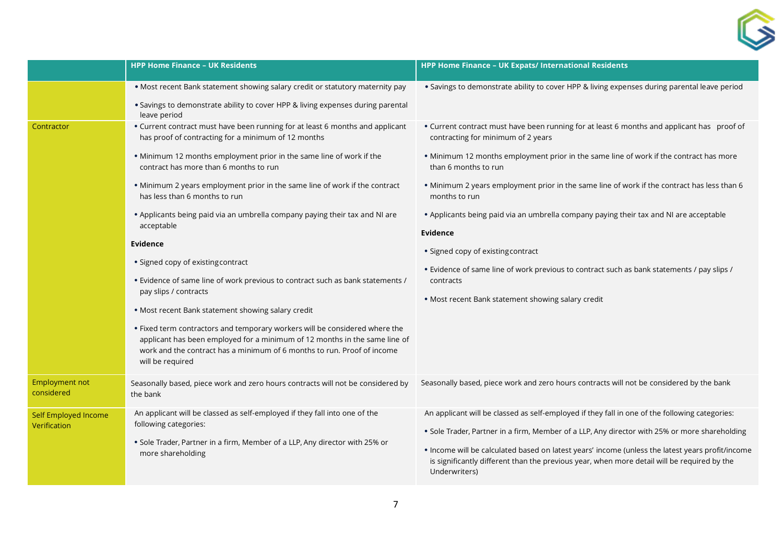

|                                      | <b>HPP Home Finance - UK Residents</b>                                                                                                                                                                                                                                                                                                                                                                                                                                                                                                                                                                                                                                                                                                                                                                                                                                                                                                             | HPP Home Finance - UK Expats/ International Residents                                                                                                                                                                                                                                                                                                                                                                                                                                                                                                                                                                                                                           |
|--------------------------------------|----------------------------------------------------------------------------------------------------------------------------------------------------------------------------------------------------------------------------------------------------------------------------------------------------------------------------------------------------------------------------------------------------------------------------------------------------------------------------------------------------------------------------------------------------------------------------------------------------------------------------------------------------------------------------------------------------------------------------------------------------------------------------------------------------------------------------------------------------------------------------------------------------------------------------------------------------|---------------------------------------------------------------------------------------------------------------------------------------------------------------------------------------------------------------------------------------------------------------------------------------------------------------------------------------------------------------------------------------------------------------------------------------------------------------------------------------------------------------------------------------------------------------------------------------------------------------------------------------------------------------------------------|
|                                      | . Most recent Bank statement showing salary credit or statutory maternity pay<br>• Savings to demonstrate ability to cover HPP & living expenses during parental<br>leave period                                                                                                                                                                                                                                                                                                                                                                                                                                                                                                                                                                                                                                                                                                                                                                   | . Savings to demonstrate ability to cover HPP & living expenses during parental leave period                                                                                                                                                                                                                                                                                                                                                                                                                                                                                                                                                                                    |
| Contractor                           | • Current contract must have been running for at least 6 months and applicant<br>has proof of contracting for a minimum of 12 months<br>. Minimum 12 months employment prior in the same line of work if the<br>contract has more than 6 months to run<br>. Minimum 2 years employment prior in the same line of work if the contract<br>has less than 6 months to run<br>• Applicants being paid via an umbrella company paying their tax and NI are<br>acceptable<br>Evidence<br>• Signed copy of existing contract<br>• Evidence of same line of work previous to contract such as bank statements /<br>pay slips / contracts<br>• Most recent Bank statement showing salary credit<br>. Fixed term contractors and temporary workers will be considered where the<br>applicant has been employed for a minimum of 12 months in the same line of<br>work and the contract has a minimum of 6 months to run. Proof of income<br>will be required | • Current contract must have been running for at least 6 months and applicant has proof of<br>contracting for minimum of 2 years<br>. Minimum 12 months employment prior in the same line of work if the contract has more<br>than 6 months to run<br>. Minimum 2 years employment prior in the same line of work if the contract has less than 6<br>months to run<br>• Applicants being paid via an umbrella company paying their tax and NI are acceptable<br>Evidence<br>• Signed copy of existing contract<br>• Evidence of same line of work previous to contract such as bank statements / pay slips /<br>contracts<br>• Most recent Bank statement showing salary credit |
| <b>Employment not</b><br>considered  | Seasonally based, piece work and zero hours contracts will not be considered by<br>the bank                                                                                                                                                                                                                                                                                                                                                                                                                                                                                                                                                                                                                                                                                                                                                                                                                                                        | Seasonally based, piece work and zero hours contracts will not be considered by the bank                                                                                                                                                                                                                                                                                                                                                                                                                                                                                                                                                                                        |
| Self Employed Income<br>Verification | An applicant will be classed as self-employed if they fall into one of the<br>following categories:<br>. Sole Trader, Partner in a firm, Member of a LLP, Any director with 25% or<br>more shareholding                                                                                                                                                                                                                                                                                                                                                                                                                                                                                                                                                                                                                                                                                                                                            | An applicant will be classed as self-employed if they fall in one of the following categories:<br>. Sole Trader, Partner in a firm, Member of a LLP, Any director with 25% or more shareholding<br>. Income will be calculated based on latest years' income (unless the latest years profit/income<br>is significantly different than the previous year, when more detail will be required by the<br>Underwriters)                                                                                                                                                                                                                                                             |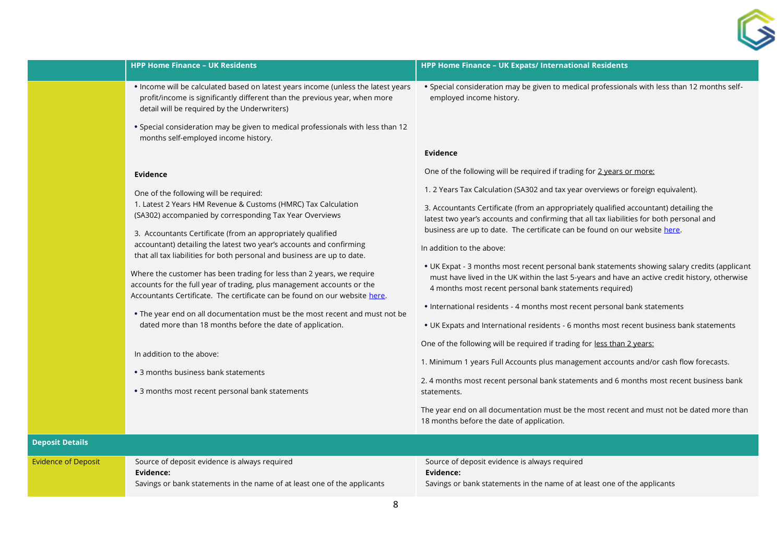|                            | <b>HPP Home Finance - UK Residents</b>                                                                                                                                                                                                                                                                                                                                                                                                                                                                                                                                                                                                                                                                                                                                                                                                                                                  | HPP Home Finance - UK Expats/ International Residents                                                                                                                                                                                                                                                                                                                                                                                                                                                                                                                                                                                                                                                                                                                                                                                                                                                                                                                                                                                                                                                                                                                                                                                         |
|----------------------------|-----------------------------------------------------------------------------------------------------------------------------------------------------------------------------------------------------------------------------------------------------------------------------------------------------------------------------------------------------------------------------------------------------------------------------------------------------------------------------------------------------------------------------------------------------------------------------------------------------------------------------------------------------------------------------------------------------------------------------------------------------------------------------------------------------------------------------------------------------------------------------------------|-----------------------------------------------------------------------------------------------------------------------------------------------------------------------------------------------------------------------------------------------------------------------------------------------------------------------------------------------------------------------------------------------------------------------------------------------------------------------------------------------------------------------------------------------------------------------------------------------------------------------------------------------------------------------------------------------------------------------------------------------------------------------------------------------------------------------------------------------------------------------------------------------------------------------------------------------------------------------------------------------------------------------------------------------------------------------------------------------------------------------------------------------------------------------------------------------------------------------------------------------|
|                            | . Income will be calculated based on latest years income (unless the latest years<br>profit/income is significantly different than the previous year, when more<br>detail will be required by the Underwriters)                                                                                                                                                                                                                                                                                                                                                                                                                                                                                                                                                                                                                                                                         | . Special consideration may be given to medical professionals with less than 12 months self-<br>employed income history.                                                                                                                                                                                                                                                                                                                                                                                                                                                                                                                                                                                                                                                                                                                                                                                                                                                                                                                                                                                                                                                                                                                      |
|                            | . Special consideration may be given to medical professionals with less than 12<br>months self-employed income history.                                                                                                                                                                                                                                                                                                                                                                                                                                                                                                                                                                                                                                                                                                                                                                 |                                                                                                                                                                                                                                                                                                                                                                                                                                                                                                                                                                                                                                                                                                                                                                                                                                                                                                                                                                                                                                                                                                                                                                                                                                               |
|                            |                                                                                                                                                                                                                                                                                                                                                                                                                                                                                                                                                                                                                                                                                                                                                                                                                                                                                         | Evidence                                                                                                                                                                                                                                                                                                                                                                                                                                                                                                                                                                                                                                                                                                                                                                                                                                                                                                                                                                                                                                                                                                                                                                                                                                      |
|                            | Evidence                                                                                                                                                                                                                                                                                                                                                                                                                                                                                                                                                                                                                                                                                                                                                                                                                                                                                | One of the following will be required if trading for 2 years or more:                                                                                                                                                                                                                                                                                                                                                                                                                                                                                                                                                                                                                                                                                                                                                                                                                                                                                                                                                                                                                                                                                                                                                                         |
|                            | One of the following will be required:<br>1. Latest 2 Years HM Revenue & Customs (HMRC) Tax Calculation<br>(SA302) accompanied by corresponding Tax Year Overviews<br>3. Accountants Certificate (from an appropriately qualified<br>accountant) detailing the latest two year's accounts and confirming<br>that all tax liabilities for both personal and business are up to date.<br>Where the customer has been trading for less than 2 years, we require<br>accounts for the full year of trading, plus management accounts or the<br>Accountants Certificate. The certificate can be found on our website here.<br>. The year end on all documentation must be the most recent and must not be<br>dated more than 18 months before the date of application.<br>In addition to the above:<br>• 3 months business bank statements<br>• 3 months most recent personal bank statements | 1. 2 Years Tax Calculation (SA302 and tax year overviews or foreign equivalent).<br>3. Accountants Certificate (from an appropriately qualified accountant) detailing the<br>latest two year's accounts and confirming that all tax liabilities for both personal and<br>business are up to date. The certificate can be found on our website here.<br>In addition to the above:<br>. UK Expat - 3 months most recent personal bank statements showing salary credits (applicant<br>must have lived in the UK within the last 5-years and have an active credit history, otherwise<br>4 months most recent personal bank statements required)<br>• International residents - 4 months most recent personal bank statements<br>• UK Expats and International residents - 6 months most recent business bank statements<br>One of the following will be required if trading for less than 2 years:<br>1. Minimum 1 years Full Accounts plus management accounts and/or cash flow forecasts.<br>2. 4 months most recent personal bank statements and 6 months most recent business bank<br>statements.<br>The year end on all documentation must be the most recent and must not be dated more than<br>18 months before the date of application. |
| <b>Deposit Details</b>     |                                                                                                                                                                                                                                                                                                                                                                                                                                                                                                                                                                                                                                                                                                                                                                                                                                                                                         |                                                                                                                                                                                                                                                                                                                                                                                                                                                                                                                                                                                                                                                                                                                                                                                                                                                                                                                                                                                                                                                                                                                                                                                                                                               |
| <b>Evidence of Deposit</b> | Source of deposit evidence is always required<br>Evidence:<br>Savings or bank statements in the name of at least one of the applicants                                                                                                                                                                                                                                                                                                                                                                                                                                                                                                                                                                                                                                                                                                                                                  | Source of deposit evidence is always required<br>Evidence:<br>Savings or bank statements in the name of at least one of the applicants                                                                                                                                                                                                                                                                                                                                                                                                                                                                                                                                                                                                                                                                                                                                                                                                                                                                                                                                                                                                                                                                                                        |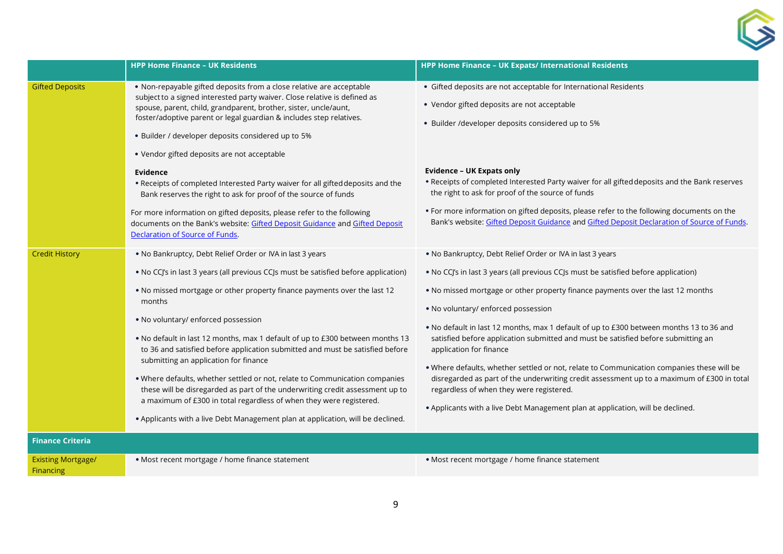

|                                        | <b>HPP Home Finance - UK Residents</b>                                                                                                                                                                                                                                                                                                                                                                                                                                                                                                                                                                                                                                                                                                                                                                             | HPP Home Finance - UK Expats/ International Residents                                                                                                                                                                                                                                                                                                                                                                                                                                                                                                                                                                                                                                                                                                                                                           |
|----------------------------------------|--------------------------------------------------------------------------------------------------------------------------------------------------------------------------------------------------------------------------------------------------------------------------------------------------------------------------------------------------------------------------------------------------------------------------------------------------------------------------------------------------------------------------------------------------------------------------------------------------------------------------------------------------------------------------------------------------------------------------------------------------------------------------------------------------------------------|-----------------------------------------------------------------------------------------------------------------------------------------------------------------------------------------------------------------------------------------------------------------------------------------------------------------------------------------------------------------------------------------------------------------------------------------------------------------------------------------------------------------------------------------------------------------------------------------------------------------------------------------------------------------------------------------------------------------------------------------------------------------------------------------------------------------|
| <b>Gifted Deposits</b>                 | • Non-repayable gifted deposits from a close relative are acceptable<br>subject to a signed interested party waiver. Close relative is defined as<br>spouse, parent, child, grandparent, brother, sister, uncle/aunt,<br>foster/adoptive parent or legal guardian & includes step relatives.<br>• Builder / developer deposits considered up to 5%<br>• Vendor gifted deposits are not acceptable                                                                                                                                                                                                                                                                                                                                                                                                                  | • Gifted deposits are not acceptable for International Residents<br>• Vendor gifted deposits are not acceptable<br>• Builder /developer deposits considered up to 5%                                                                                                                                                                                                                                                                                                                                                                                                                                                                                                                                                                                                                                            |
|                                        | Evidence<br>. Receipts of completed Interested Party waiver for all gifted deposits and the<br>Bank reserves the right to ask for proof of the source of funds<br>For more information on gifted deposits, please refer to the following<br>documents on the Bank's website: Gifted Deposit Guidance and Gifted Deposit<br>Declaration of Source of Funds.                                                                                                                                                                                                                                                                                                                                                                                                                                                         | <b>Evidence - UK Expats only</b><br>. Receipts of completed Interested Party waiver for all gifted deposits and the Bank reserves<br>the right to ask for proof of the source of funds<br>. For more information on gifted deposits, please refer to the following documents on the<br>Bank's website: Gifted Deposit Guidance and Gifted Deposit Declaration of Source of Funds.                                                                                                                                                                                                                                                                                                                                                                                                                               |
| <b>Credit History</b>                  | . No Bankruptcy, Debt Relief Order or IVA in last 3 years<br>. No CCJ's in last 3 years (all previous CCJs must be satisfied before application)<br>. No missed mortgage or other property finance payments over the last 12<br>months<br>. No voluntary/ enforced possession<br>. No default in last 12 months, max 1 default of up to £300 between months 13<br>to 36 and satisfied before application submitted and must be satisfied before<br>submitting an application for finance<br>. Where defaults, whether settled or not, relate to Communication companies<br>these will be disregarded as part of the underwriting credit assessment up to<br>a maximum of £300 in total regardless of when they were registered.<br>. Applicants with a live Debt Management plan at application, will be declined. | . No Bankruptcy, Debt Relief Order or IVA in last 3 years<br>. No CCJ's in last 3 years (all previous CCJs must be satisfied before application)<br>. No missed mortgage or other property finance payments over the last 12 months<br>. No voluntary/ enforced possession<br>. No default in last 12 months, max 1 default of up to £300 between months 13 to 36 and<br>satisfied before application submitted and must be satisfied before submitting an<br>application for finance<br>. Where defaults, whether settled or not, relate to Communication companies these will be<br>disregarded as part of the underwriting credit assessment up to a maximum of £300 in total<br>regardless of when they were registered.<br>. Applicants with a live Debt Management plan at application, will be declined. |
| <b>Finance Criteria</b>                |                                                                                                                                                                                                                                                                                                                                                                                                                                                                                                                                                                                                                                                                                                                                                                                                                    |                                                                                                                                                                                                                                                                                                                                                                                                                                                                                                                                                                                                                                                                                                                                                                                                                 |
| <b>Existing Mortgage/</b><br>Financing | • Most recent mortgage / home finance statement                                                                                                                                                                                                                                                                                                                                                                                                                                                                                                                                                                                                                                                                                                                                                                    | • Most recent mortgage / home finance statement                                                                                                                                                                                                                                                                                                                                                                                                                                                                                                                                                                                                                                                                                                                                                                 |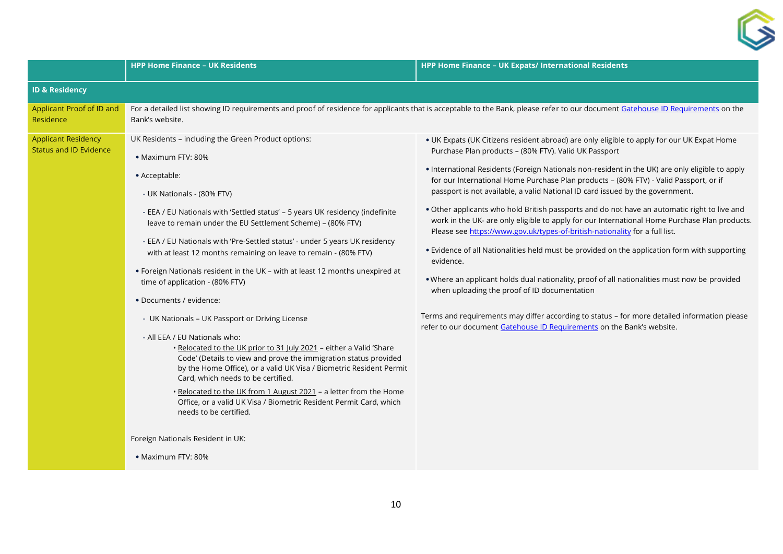

|                                                             | <b>HPP Home Finance - UK Residents</b>                                                                                                                                                                                                                                                                                                                                                                                                                                                                                                                                                                                                                                                                                                                                                                                                                                                                                                                                                                                                                                                                                                                 | HPP Home Finance - UK Expats/ International Residents                                                                                                                                                                                                                                                                                                                                                                                                                                                                                                                                                                                                                                                                                                                                                                                                                                                                                                                                                                                                                                                                                                    |  |
|-------------------------------------------------------------|--------------------------------------------------------------------------------------------------------------------------------------------------------------------------------------------------------------------------------------------------------------------------------------------------------------------------------------------------------------------------------------------------------------------------------------------------------------------------------------------------------------------------------------------------------------------------------------------------------------------------------------------------------------------------------------------------------------------------------------------------------------------------------------------------------------------------------------------------------------------------------------------------------------------------------------------------------------------------------------------------------------------------------------------------------------------------------------------------------------------------------------------------------|----------------------------------------------------------------------------------------------------------------------------------------------------------------------------------------------------------------------------------------------------------------------------------------------------------------------------------------------------------------------------------------------------------------------------------------------------------------------------------------------------------------------------------------------------------------------------------------------------------------------------------------------------------------------------------------------------------------------------------------------------------------------------------------------------------------------------------------------------------------------------------------------------------------------------------------------------------------------------------------------------------------------------------------------------------------------------------------------------------------------------------------------------------|--|
| <b>ID &amp; Residency</b>                                   |                                                                                                                                                                                                                                                                                                                                                                                                                                                                                                                                                                                                                                                                                                                                                                                                                                                                                                                                                                                                                                                                                                                                                        |                                                                                                                                                                                                                                                                                                                                                                                                                                                                                                                                                                                                                                                                                                                                                                                                                                                                                                                                                                                                                                                                                                                                                          |  |
| Applicant Proof of ID and<br>Residence                      | For a detailed list showing ID requirements and proof of residence for applicants that is acceptable to the Bank, please refer to our document Gatehouse ID Requirements on the<br>Bank's website.                                                                                                                                                                                                                                                                                                                                                                                                                                                                                                                                                                                                                                                                                                                                                                                                                                                                                                                                                     |                                                                                                                                                                                                                                                                                                                                                                                                                                                                                                                                                                                                                                                                                                                                                                                                                                                                                                                                                                                                                                                                                                                                                          |  |
| <b>Applicant Residency</b><br><b>Status and ID Evidence</b> | UK Residents - including the Green Product options:<br>• Maximum FTV: 80%<br>• Acceptable:<br>- UK Nationals - (80% FTV)<br>- EEA / EU Nationals with 'Settled status' - 5 years UK residency (indefinite<br>leave to remain under the EU Settlement Scheme) - (80% FTV)<br>- EEA / EU Nationals with 'Pre-Settled status' - under 5 years UK residency<br>with at least 12 months remaining on leave to remain - (80% FTV)<br>. Foreign Nationals resident in the UK - with at least 12 months unexpired at<br>time of application - (80% FTV)<br>• Documents / evidence:<br>- UK Nationals - UK Passport or Driving License<br>- All EEA / EU Nationals who:<br>. Relocated to the UK prior to 31 July 2021 - either a Valid 'Share<br>Code' (Details to view and prove the immigration status provided<br>by the Home Office), or a valid UK Visa / Biometric Resident Permit<br>Card, which needs to be certified.<br>. Relocated to the UK from 1 August 2021 - a letter from the Home<br>Office, or a valid UK Visa / Biometric Resident Permit Card, which<br>needs to be certified.<br>Foreign Nationals Resident in UK:<br>• Maximum FTV: 80% | . UK Expats (UK Citizens resident abroad) are only eligible to apply for our UK Expat Home<br>Purchase Plan products - (80% FTV). Valid UK Passport<br>• International Residents (Foreign Nationals non-resident in the UK) are only eligible to apply<br>for our International Home Purchase Plan products - (80% FTV) - Valid Passport, or if<br>passport is not available, a valid National ID card issued by the government.<br>. Other applicants who hold British passports and do not have an automatic right to live and<br>work in the UK- are only eligible to apply for our International Home Purchase Plan products.<br>Please see https://www.gov.uk/types-of-british-nationality for a full list.<br>. Evidence of all Nationalities held must be provided on the application form with supporting<br>evidence.<br>. Where an applicant holds dual nationality, proof of all nationalities must now be provided<br>when uploading the proof of ID documentation<br>Terms and requirements may differ according to status - for more detailed information please<br>refer to our document Gatehouse ID Requirements on the Bank's website. |  |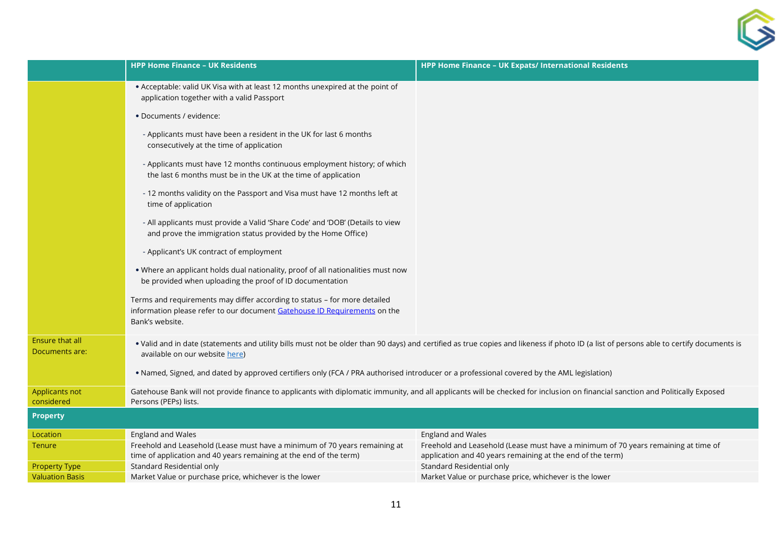|                                                | <b>HPP Home Finance - UK Residents</b>                                                                                                                                                                                    | HPP Home Finance - UK Expats/ International Residents                               |
|------------------------------------------------|---------------------------------------------------------------------------------------------------------------------------------------------------------------------------------------------------------------------------|-------------------------------------------------------------------------------------|
|                                                | • Acceptable: valid UK Visa with at least 12 months unexpired at the point of<br>application together with a valid Passport                                                                                               |                                                                                     |
|                                                | · Documents / evidence:                                                                                                                                                                                                   |                                                                                     |
|                                                | - Applicants must have been a resident in the UK for last 6 months<br>consecutively at the time of application                                                                                                            |                                                                                     |
|                                                | - Applicants must have 12 months continuous employment history; of which<br>the last 6 months must be in the UK at the time of application                                                                                |                                                                                     |
|                                                | - 12 months validity on the Passport and Visa must have 12 months left at<br>time of application                                                                                                                          |                                                                                     |
|                                                | - All applicants must provide a Valid 'Share Code' and 'DOB' (Details to view<br>and prove the immigration status provided by the Home Office)                                                                            |                                                                                     |
|                                                | - Applicant's UK contract of employment                                                                                                                                                                                   |                                                                                     |
|                                                | . Where an applicant holds dual nationality, proof of all nationalities must now<br>be provided when uploading the proof of ID documentation                                                                              |                                                                                     |
|                                                | Terms and requirements may differ according to status - for more detailed<br>information please refer to our document Gatehouse ID Requirements on the<br>Bank's website.                                                 |                                                                                     |
| Ensure that all<br>Documents are:              | . Valid and in date (statements and utility bills must not be older than 90 days) and certified as true copies and likeness if photo ID (a list of persons able to certify documents is<br>available on our website here) |                                                                                     |
|                                                | . Named, Signed, and dated by approved certifiers only (FCA / PRA authorised introducer or a professional covered by the AML legislation)                                                                                 |                                                                                     |
| Applicants not<br>considered                   | Gatehouse Bank will not provide finance to applicants with diplomatic immunity, and all applicants will be checked for inclusion on financial sanction and Politically Exposed<br>Persons (PEPs) lists.                   |                                                                                     |
| <b>Property</b>                                |                                                                                                                                                                                                                           |                                                                                     |
| Location                                       | England and Wales                                                                                                                                                                                                         | England and Wales                                                                   |
| <b>Tenure</b>                                  | Freehold and Leasehold (Lease must have a minimum of 70 years remaining at                                                                                                                                                | Freehold and Leasehold (Lease must have a minimum of 70 years remaining at time of  |
|                                                | time of application and 40 years remaining at the end of the term)<br>Standard Residential only                                                                                                                           | application and 40 years remaining at the end of the term)                          |
| <b>Property Type</b><br><b>Valuation Basis</b> | Market Value or purchase price, whichever is the lower                                                                                                                                                                    | Standard Residential only<br>Market Value or purchase price, whichever is the lower |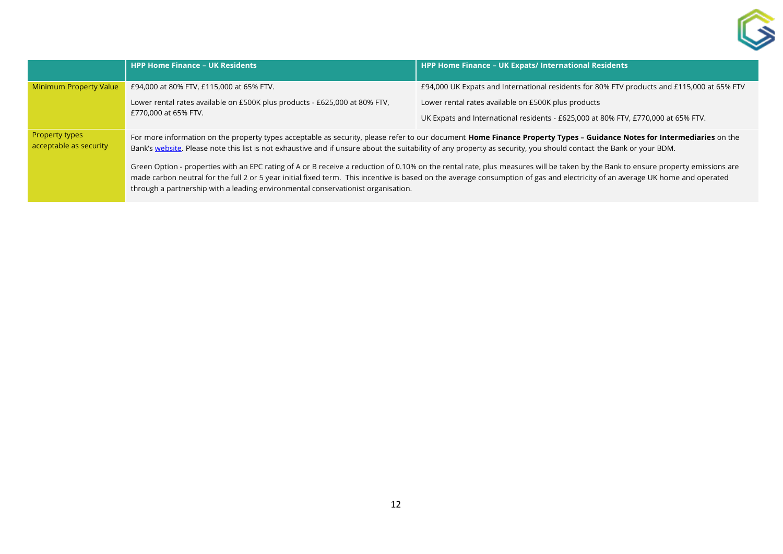

|                                          | <b>HPP Home Finance - UK Residents</b>                                                                                                                                                                                                                                                                                                                                                                                                                                                                                                                                                                                                                                                                                                                                                               | <b>HPP Home Finance - UK Expats/ International Residents</b>                               |
|------------------------------------------|------------------------------------------------------------------------------------------------------------------------------------------------------------------------------------------------------------------------------------------------------------------------------------------------------------------------------------------------------------------------------------------------------------------------------------------------------------------------------------------------------------------------------------------------------------------------------------------------------------------------------------------------------------------------------------------------------------------------------------------------------------------------------------------------------|--------------------------------------------------------------------------------------------|
| <b>Minimum Property Value</b>            | £94,000 at 80% FTV, £115,000 at 65% FTV.                                                                                                                                                                                                                                                                                                                                                                                                                                                                                                                                                                                                                                                                                                                                                             | £94,000 UK Expats and International residents for 80% FTV products and £115,000 at 65% FTV |
|                                          | Lower rental rates available on £500K plus products - £625,000 at 80% FTV,<br>£770,000 at 65% FTV.                                                                                                                                                                                                                                                                                                                                                                                                                                                                                                                                                                                                                                                                                                   | Lower rental rates available on £500K plus products                                        |
|                                          |                                                                                                                                                                                                                                                                                                                                                                                                                                                                                                                                                                                                                                                                                                                                                                                                      | UK Expats and International residents - £625,000 at 80% FTV, £770,000 at 65% FTV.          |
| Property types<br>acceptable as security | For more information on the property types acceptable as security, please refer to our document Home Finance Property Types - Guidance Notes for Intermediaries on the<br>Bank's website. Please note this list is not exhaustive and if unsure about the suitability of any property as security, you should contact the Bank or your BDM.<br>Green Option - properties with an EPC rating of A or B receive a reduction of 0.10% on the rental rate, plus measures will be taken by the Bank to ensure property emissions are<br>made carbon neutral for the full 2 or 5 year initial fixed term. This incentive is based on the average consumption of gas and electricity of an average UK home and operated<br>through a partnership with a leading environmental conservationist organisation. |                                                                                            |
|                                          |                                                                                                                                                                                                                                                                                                                                                                                                                                                                                                                                                                                                                                                                                                                                                                                                      |                                                                                            |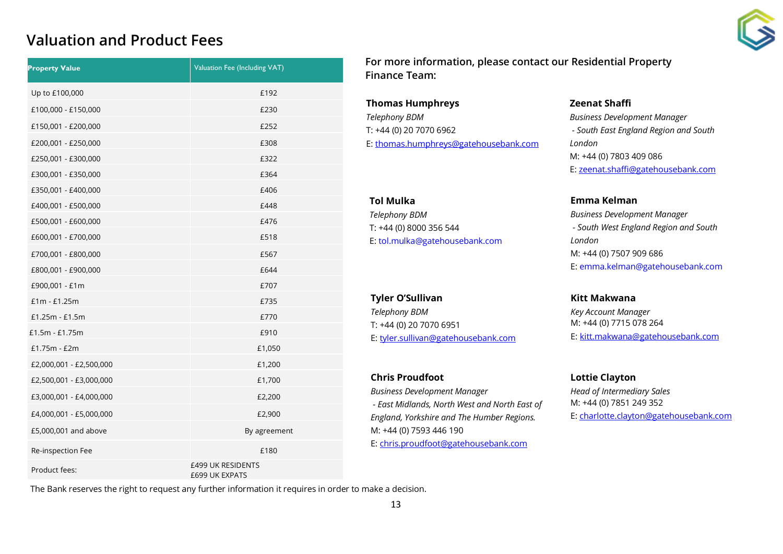## **Valuation and Product Fees**

| <b>Property Value</b>   | Valuation Fee (Including VAT)              |
|-------------------------|--------------------------------------------|
| Up to £100,000          | £192                                       |
| £100,000 - £150,000     | £230                                       |
| £150,001 - £200,000     | £252                                       |
| £200,001 - £250,000     | £308                                       |
| £250,001 - £300,000     | £322                                       |
| £300,001 - £350,000     | £364                                       |
| £350,001 - £400,000     | £406                                       |
| £400,001 - £500,000     | £448                                       |
| £500,001 - £600,000     | £476                                       |
| £600,001 - £700,000     | £518                                       |
| £700,001 - £800,000     | £567                                       |
| £800,001 - £900,000     | £644                                       |
| £900,001 - £1m          | £707                                       |
| $£1m - £1.25m$          | £735                                       |
| $£1.25m - £1.5m$        | £770                                       |
| £1.5m - £1.75m          | £910                                       |
| $£1.75m - £2m$          | £1,050                                     |
| £2,000,001 - £2,500,000 | £1,200                                     |
| £2,500,001 - £3,000,000 | £1,700                                     |
| £3,000,001 - £4,000,000 | £2,200                                     |
| £4,000,001 - £5,000,000 | £2,900                                     |
| £5,000,001 and above    | By agreement                               |
| Re-inspection Fee       | £180                                       |
| Product fees:           | £499 UK RESIDENTS<br><b>£699 UK EXPATS</b> |

**For more information, please contact our Residential Property Finance Team:**

**Thomas Humphreys** *Telephony BDM*  T: +44 (0) 20 7070 6962 E[: thomas.humphreys@gatehousebank.com](mailto:thomas.humphreys@gatehousebank.com)

#### **Tol Mulka** *Telephony BDM*  T: +44 (0) 8000 356 544 E: [tol.mulka@gatehousebank.com](mailto:tol.mulka@gatehousebank.com)

#### **Tyler O'Sullivan**

*Telephony BDM*  T: +44 (0) 20 7070 6951 E: [tyler.sullivan@gatehousebank.com](mailto:tyler.sullivan@gatehousebank.com)

#### **Chris Proudfoot**

*Business Development Manager - East Midlands, North West and North East of England, Yorkshire and The Humber Regions.* M: +44 (0) 7593 446 190 E: [chris.proudfoot@gatehousebank.com](mailto:chris.proudfoot@gatehousebank.com)

#### **Zeenat Shaffi**

*Business Development Manager - South East England Region and South London* M: +44 (0) 7803 409 086 E[: zeenat.shaffi@gatehousebank.com](mailto:zeenat.shaffi@gatehousebank.com)

**Emma Kelman**

*Business Development Manager - South West England Region and South London* M: +44 (0) 7507 909 686 E: [emma.kelman@gatehousebank.com](mailto:emma.kelman@gatehousebank.com)

**Kitt Makwana** *Key Account Manager* M: +44 (0) 7715 078 264 E[: kitt.makwana@gatehousebank.com](mailto:kitt.makwana@gatehousebank.com)

**Lottie Clayton**

*Head of Intermediary Sales* M: +44 (0) 7851 249 352 E: [charlotte.clayton@gatehousebank.com](mailto:charlotte.clayton@gatehousebank.com)

The Bank reserves the right to request any further information it requires in order to make a decision.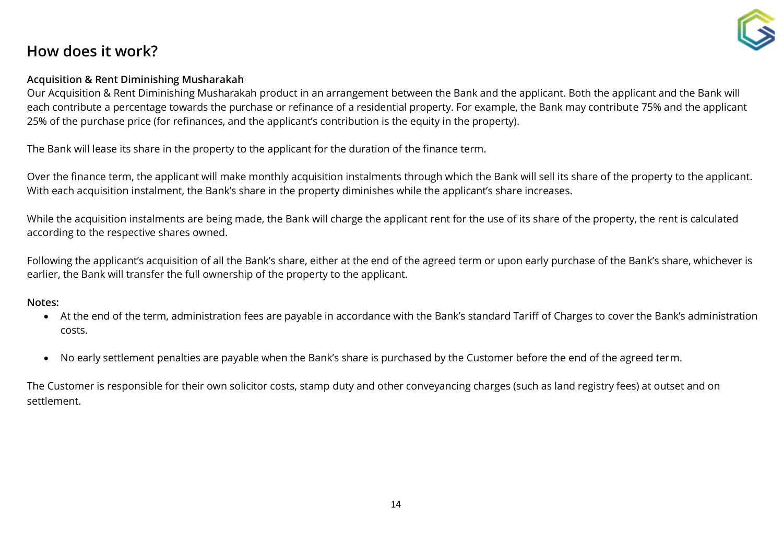## **How does it work?**

#### **Acquisition & Rent Diminishing Musharakah**

Our Acquisition & Rent Diminishing Musharakah product in an arrangement between the Bank and the applicant. Both the applicant and the Bank will each contribute a percentage towards the purchase or refinance of a residential property. For example, the Bank may contribute 75% and the applicant 25% of the purchase price (for refinances, and the applicant's contribution is the equity in the property).

The Bank will lease its share in the property to the applicant for the duration of the finance term.

Over the finance term, the applicant will make monthly acquisition instalments through which the Bank will sell its share of the property to the applicant. With each acquisition instalment, the Bank's share in the property diminishes while the applicant's share increases.

While the acquisition instalments are being made, the Bank will charge the applicant rent for the use of its share of the property, the rent is calculated according to the respective shares owned.

Following the applicant's acquisition of all the Bank's share, either at the end of the agreed term or upon early purchase of the Bank's share, whichever is earlier, the Bank will transfer the full ownership of the property to the applicant.

#### **Notes:**

- At the end of the term, administration fees are payable in accordance with the Bank's standard Tariff of Charges to cover the Bank's administration costs.
- No early settlement penalties are payable when the Bank's share is purchased by the Customer before the end of the agreed term.

The Customer is responsible for their own solicitor costs, stamp duty and other conveyancing charges (such as land registry fees) at outset and on settlement.